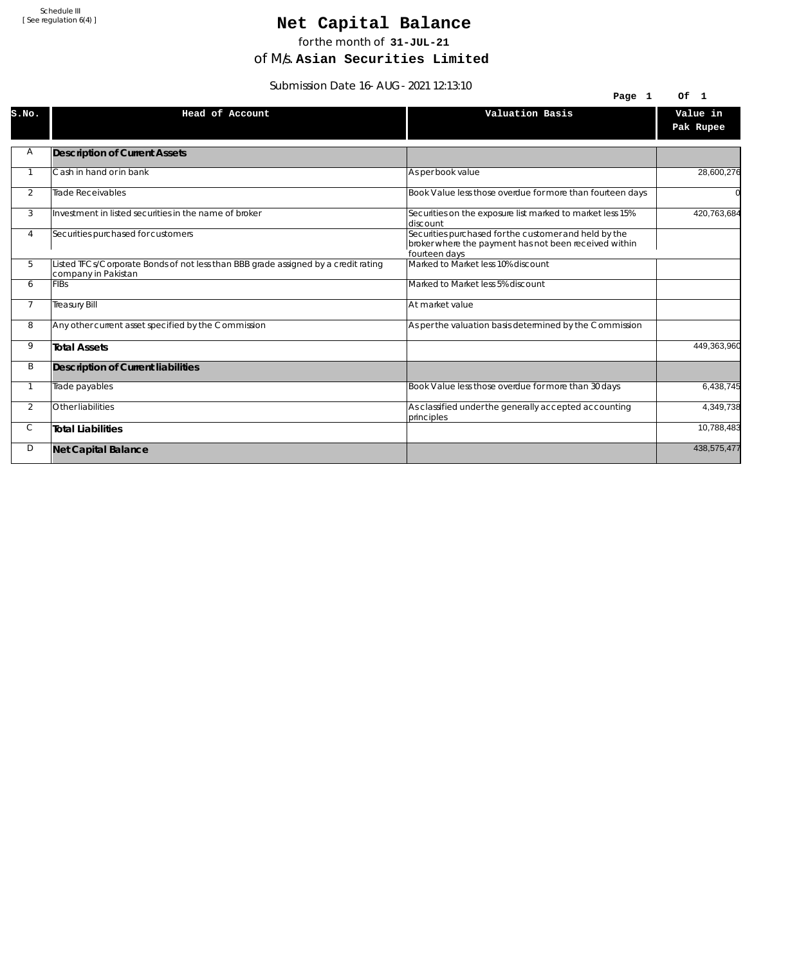## Net Capital Balance

for the month of **31-JUL-21**

of M/s. **Asian Securities Limited**

Submission Date 16-AUG-2021 12:13:10

|                | <u>JUDITIISJUITDALE IU-AUG-ZUZT IZ.IJ.IU</u>                                                              |                                                                                                                                 |                       |
|----------------|-----------------------------------------------------------------------------------------------------------|---------------------------------------------------------------------------------------------------------------------------------|-----------------------|
|                |                                                                                                           | Page 1                                                                                                                          | Of<br>$\blacksquare$  |
| s.no.          | Head of Account                                                                                           | Valuation Basis                                                                                                                 | Value in<br>Pak Rupee |
| Α              | <b>Description of Current Assets</b>                                                                      |                                                                                                                                 |                       |
|                | Cash in hand or in bank                                                                                   | As per book value                                                                                                               | 28,600,276            |
| $\overline{2}$ | <b>Trade Receivables</b>                                                                                  | Book Value less those overdue for more than fourteen days                                                                       |                       |
| 3              | Investment in listed securities in the name of broker                                                     | Securities on the exposure list marked to market less 15%<br>ldiscount                                                          | 420,763,684           |
| 4              | Securities purchased for customers                                                                        | Securities purchased for the customer and held by the<br>broker where the payment has not been received within<br>fourteen days |                       |
| 5              | Listed TFCs/Corporate Bonds of not less than BBB grade assigned by a credit rating<br>company in Pakistan | Marked to Market less 10% discount                                                                                              |                       |
| 6              | <b>FIBs</b>                                                                                               | Marked to Market less 5% discount                                                                                               |                       |
| $\overline{7}$ | <b>Treasury Bill</b>                                                                                      | At market value                                                                                                                 |                       |
| 8              | Any other current asset specified by the Commission                                                       | As per the valuation basis determined by the Commission                                                                         |                       |
| 9              | <b>Total Assets</b>                                                                                       |                                                                                                                                 | 449,363,960           |
| B              | <b>Description of Current liabilities</b>                                                                 |                                                                                                                                 |                       |
| $\mathbf{1}$   | Trade payables                                                                                            | Book Value less those overdue for more than 30 days                                                                             | 6,438,745             |
| 2              | Other liabilities                                                                                         | As classified under the generally accepted accounting<br>principles                                                             | 4,349,738             |
| C              | Total Liabilities                                                                                         |                                                                                                                                 | 10,788,483            |
| D              | <b>Net Capital Balance</b>                                                                                |                                                                                                                                 | 438,575,477           |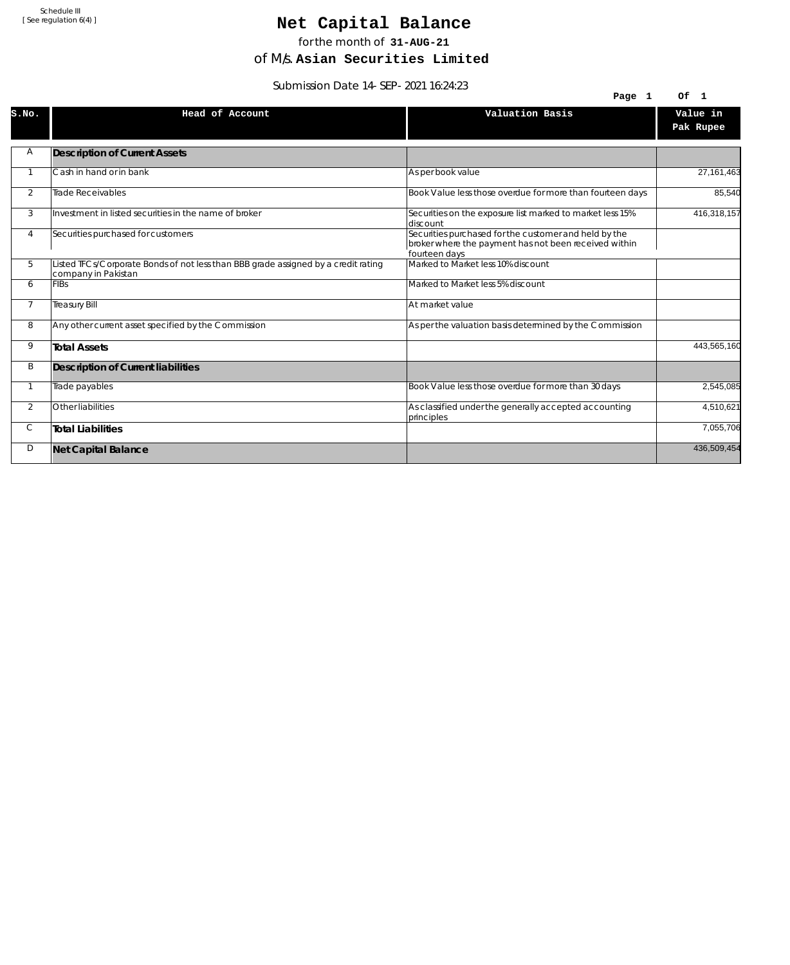## Net Capital Balance

for the month of **31-AUG-21**

of M/s. **Asian Securities Limited**

Submission Date 14-SEP-2021 16:24:23

|                | SUDITIISSIOIT DATE T4-SEF-ZVZT T0.24.23                                                                   |                                                                                                                                 |                                |
|----------------|-----------------------------------------------------------------------------------------------------------|---------------------------------------------------------------------------------------------------------------------------------|--------------------------------|
|                |                                                                                                           | Page 1                                                                                                                          | Of<br>$\overline{\phantom{0}}$ |
| S.NO.          | Head of Account                                                                                           | Valuation Basis                                                                                                                 | Value in<br>Pak Rupee          |
| Α              | <b>Description of Current Assets</b>                                                                      |                                                                                                                                 |                                |
|                | Cash in hand or in bank                                                                                   | As per book value                                                                                                               | 27, 161, 463                   |
| 2              | Trade Receivables                                                                                         | Book Value less those overdue for more than fourteen days                                                                       | 85,540                         |
| 3              | Investment in listed securities in the name of broker                                                     | Securities on the exposure list marked to market less 15%<br>ldiscount                                                          | 416,318,157                    |
| 4              | Securities purchased for customers                                                                        | Securities purchased for the customer and held by the<br>broker where the payment has not been received within<br>fourteen days |                                |
| 5              | Listed TFCs/Corporate Bonds of not less than BBB grade assigned by a credit rating<br>company in Pakistan | Marked to Market less 10% discount                                                                                              |                                |
| 6              | <b>FIBs</b>                                                                                               | Marked to Market less 5% discount                                                                                               |                                |
| $\overline{7}$ | <b>Treasury Bill</b>                                                                                      | At market value                                                                                                                 |                                |
| 8              | Any other current asset specified by the Commission                                                       | As per the valuation basis determined by the Commission                                                                         |                                |
| 9              | <b>Total Assets</b>                                                                                       |                                                                                                                                 | 443,565,160                    |
| B              | Description of Current liabilities                                                                        |                                                                                                                                 |                                |
|                | Trade payables                                                                                            | Book Value less those overdue for more than 30 days                                                                             | 2,545,085                      |
| $\overline{2}$ | Other liabilities                                                                                         | As classified under the generally accepted accounting<br>principles                                                             | 4,510,621                      |
| С              | <b>Total Liabilities</b>                                                                                  |                                                                                                                                 | 7,055,706                      |
| D              | <b>Net Capital Balance</b>                                                                                |                                                                                                                                 | 436,509,454                    |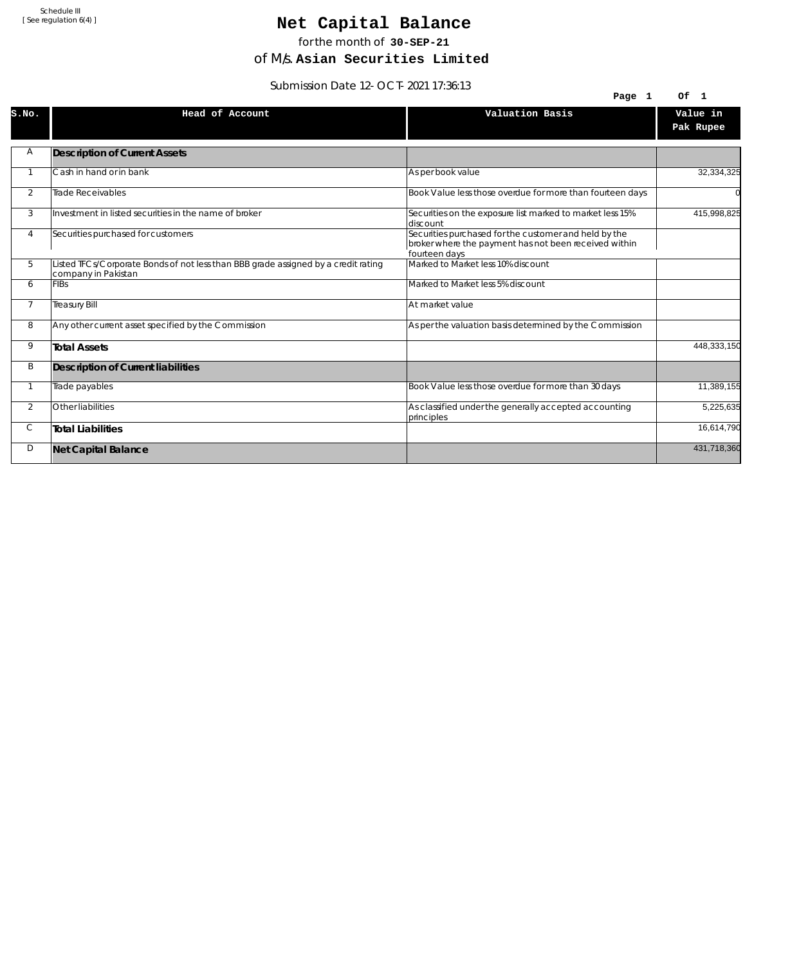## Net Capital Balance

for the month of **30-SEP-21**

of M/s. **Asian Securities Limited**

Submission Date 12-OCT-2021 17:36:13

|                | $300111331011$ Date $12 - 001 - 2021$ 17.30.13                                                            |                                                                                                                                 |                       |
|----------------|-----------------------------------------------------------------------------------------------------------|---------------------------------------------------------------------------------------------------------------------------------|-----------------------|
|                |                                                                                                           | Page 1                                                                                                                          | Of 1                  |
| S.NO.          | Head of Account                                                                                           | Valuation Basis                                                                                                                 | Value in<br>Pak Rupee |
| Α              | <b>Description of Current Assets</b>                                                                      |                                                                                                                                 |                       |
|                | Cash in hand or in bank                                                                                   | As per book value                                                                                                               | 32,334,325            |
| 2              | Trade Receivables                                                                                         | Book Value less those overdue for more than fourteen days                                                                       |                       |
| 3              | Investment in listed securities in the name of broker                                                     | Securities on the exposure list marked to market less 15%<br>ldiscount                                                          | 415,998,825           |
| 4              | Securities purchased for customers                                                                        | Securities purchased for the customer and held by the<br>broker where the payment has not been received within<br>fourteen days |                       |
| 5              | Listed TFCs/Corporate Bonds of not less than BBB grade assigned by a credit rating<br>company in Pakistan | Marked to Market less 10% discount                                                                                              |                       |
| 6              | <b>FIBs</b>                                                                                               | Marked to Market less 5% discount                                                                                               |                       |
| $\overline{7}$ | <b>Treasury Bill</b>                                                                                      | At market value                                                                                                                 |                       |
| 8              | Any other current asset specified by the Commission                                                       | As per the valuation basis determined by the Commission                                                                         |                       |
| 9              | <b>Total Assets</b>                                                                                       |                                                                                                                                 | 448,333,150           |
| B              | Description of Current liabilities                                                                        |                                                                                                                                 |                       |
|                | Trade payables                                                                                            | Book Value less those overdue for more than 30 days                                                                             | 11,389,155            |
| $\overline{2}$ | Other liabilities                                                                                         | As classified under the generally accepted accounting<br>principles                                                             | 5,225,635             |
| С              | <b>Total Liabilities</b>                                                                                  |                                                                                                                                 | 16,614,790            |
| D              | <b>Net Capital Balance</b>                                                                                |                                                                                                                                 | 431,718,360           |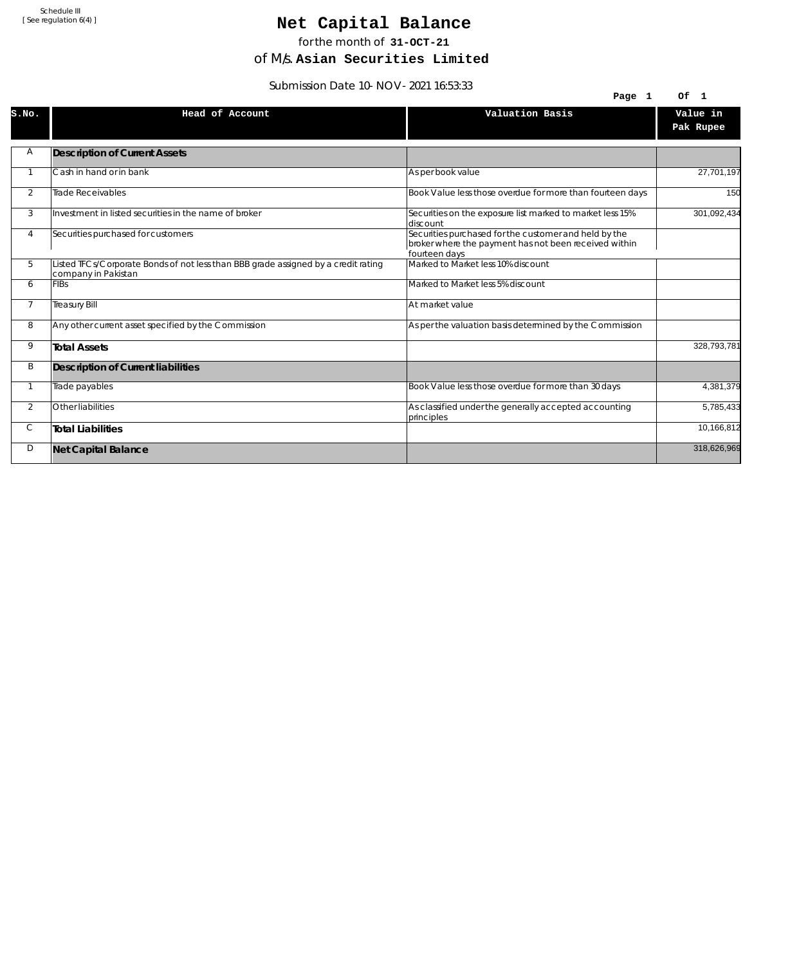## Net Capital Balance

for the month of **31-OCT-21**

of M/s. **Asian Securities Limited**

Submission Date 10-NOV-2021 16:53:33

|                | <u>JUDITIISSIUITE JU – INU V – ZUZ L TOJJJJJ</u>                                                          |                                                                                                                                 |                                |
|----------------|-----------------------------------------------------------------------------------------------------------|---------------------------------------------------------------------------------------------------------------------------------|--------------------------------|
|                |                                                                                                           | Page 1                                                                                                                          | Of<br>$\overline{\phantom{0}}$ |
| S.NO.          | Head of Account                                                                                           | Valuation Basis                                                                                                                 | Value in<br>Pak Rupee          |
| Α              | <b>Description of Current Assets</b>                                                                      |                                                                                                                                 |                                |
|                | Cash in hand or in bank                                                                                   | As per book value                                                                                                               | 27,701,197                     |
| 2              | Trade Receivables                                                                                         | Book Value less those overdue for more than fourteen days                                                                       | 150                            |
| 3              | Investment in listed securities in the name of broker                                                     | Securities on the exposure list marked to market less 15%<br>ldiscount                                                          | 301,092,434                    |
| 4              | Securities purchased for customers                                                                        | Securities purchased for the customer and held by the<br>broker where the payment has not been received within<br>fourteen days |                                |
| 5              | Listed TFCs/Corporate Bonds of not less than BBB grade assigned by a credit rating<br>company in Pakistan | Marked to Market less 10% discount                                                                                              |                                |
| 6              | <b>FIBs</b>                                                                                               | Marked to Market less 5% discount                                                                                               |                                |
| $\overline{7}$ | <b>Treasury Bill</b>                                                                                      | At market value                                                                                                                 |                                |
| 8              | Any other current asset specified by the Commission                                                       | As per the valuation basis determined by the Commission                                                                         |                                |
| 9              | <b>Total Assets</b>                                                                                       |                                                                                                                                 | 328,793,781                    |
| B              | Description of Current liabilities                                                                        |                                                                                                                                 |                                |
|                | Trade payables                                                                                            | Book Value less those overdue for more than 30 days                                                                             | 4,381,379                      |
| $\overline{2}$ | Other liabilities                                                                                         | As classified under the generally accepted accounting<br>principles                                                             | 5,785,433                      |
| С              | <b>Total Liabilities</b>                                                                                  |                                                                                                                                 | 10,166,812                     |
| D              | <b>Net Capital Balance</b>                                                                                |                                                                                                                                 | 318,626,969                    |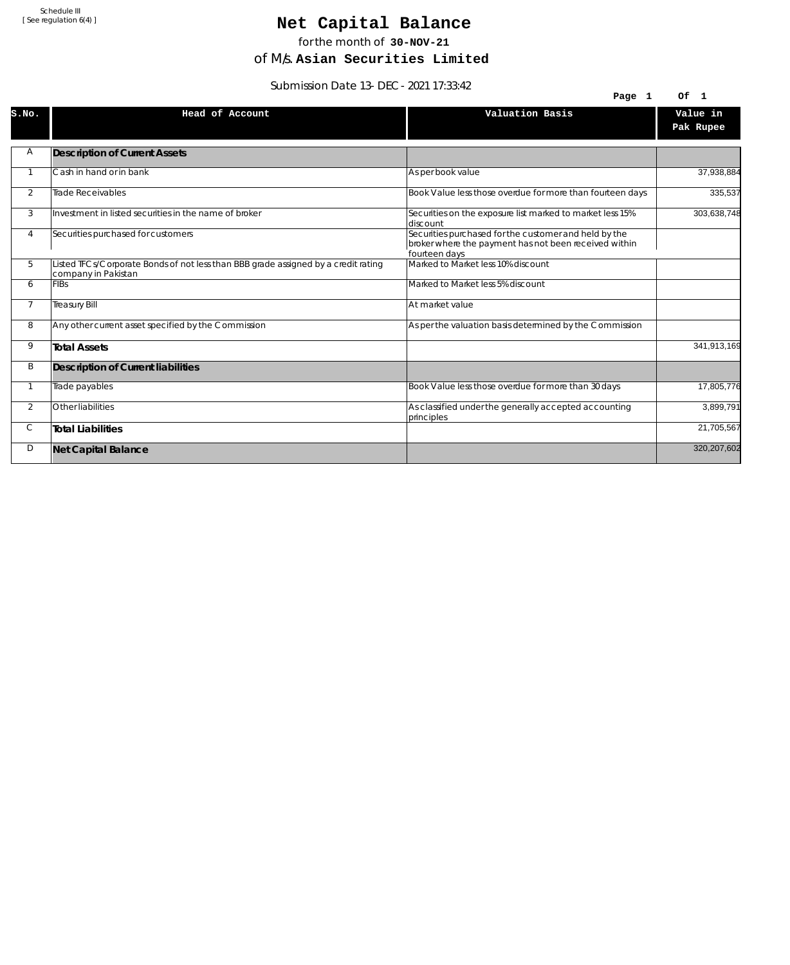## Net Capital Balance

for the month of **30-NOV-21**

of M/s. **Asian Securities Limited**

Submission Date 13-DEC-2021 17:33:42

|                | 39.42 - 2011 Dale 13-DLC - 2021 17:33                                                                     |                                                                                                                                 |                       |
|----------------|-----------------------------------------------------------------------------------------------------------|---------------------------------------------------------------------------------------------------------------------------------|-----------------------|
|                |                                                                                                           | Page 1                                                                                                                          | Of 1                  |
| S.NO.          | Head of Account                                                                                           | Valuation Basis                                                                                                                 | Value in<br>Pak Rupee |
| Α              | <b>Description of Current Assets</b>                                                                      |                                                                                                                                 |                       |
|                | Cash in hand or in bank                                                                                   | As per book value                                                                                                               | 37,938,884            |
| $\overline{2}$ | <b>Trade Receivables</b>                                                                                  | Book Value less those overdue for more than fourteen days                                                                       | 335,537               |
| 3              | Investment in listed securities in the name of broker                                                     | Securities on the exposure list marked to market less 15%<br>discount                                                           | 303,638,748           |
| 4              | Securities purchased for customers                                                                        | Securities purchased for the customer and held by the<br>broker where the payment has not been received within<br>fourteen days |                       |
| 5              | Listed TFCs/Corporate Bonds of not less than BBB grade assigned by a credit rating<br>company in Pakistan | Marked to Market less 10% discount                                                                                              |                       |
| 6              | <b>FIBs</b>                                                                                               | Marked to Market less 5% discount                                                                                               |                       |
| $\overline{7}$ | <b>Treasury Bill</b>                                                                                      | At market value                                                                                                                 |                       |
| 8              | Any other current asset specified by the Commission                                                       | As per the valuation basis determined by the Commission                                                                         |                       |
| 9              | <b>Total Assets</b>                                                                                       |                                                                                                                                 | 341,913,169           |
| B              | Description of Current liabilities                                                                        |                                                                                                                                 |                       |
|                | Trade payables                                                                                            | Book Value less those overdue for more than 30 days                                                                             | 17,805,776            |
| $\overline{2}$ | Other liabilities                                                                                         | As classified under the generally accepted accounting<br>principles                                                             | 3,899,791             |
| С              | <b>Total Liabilities</b>                                                                                  |                                                                                                                                 | 21,705,567            |
| D              | <b>Net Capital Balance</b>                                                                                |                                                                                                                                 | 320,207,602           |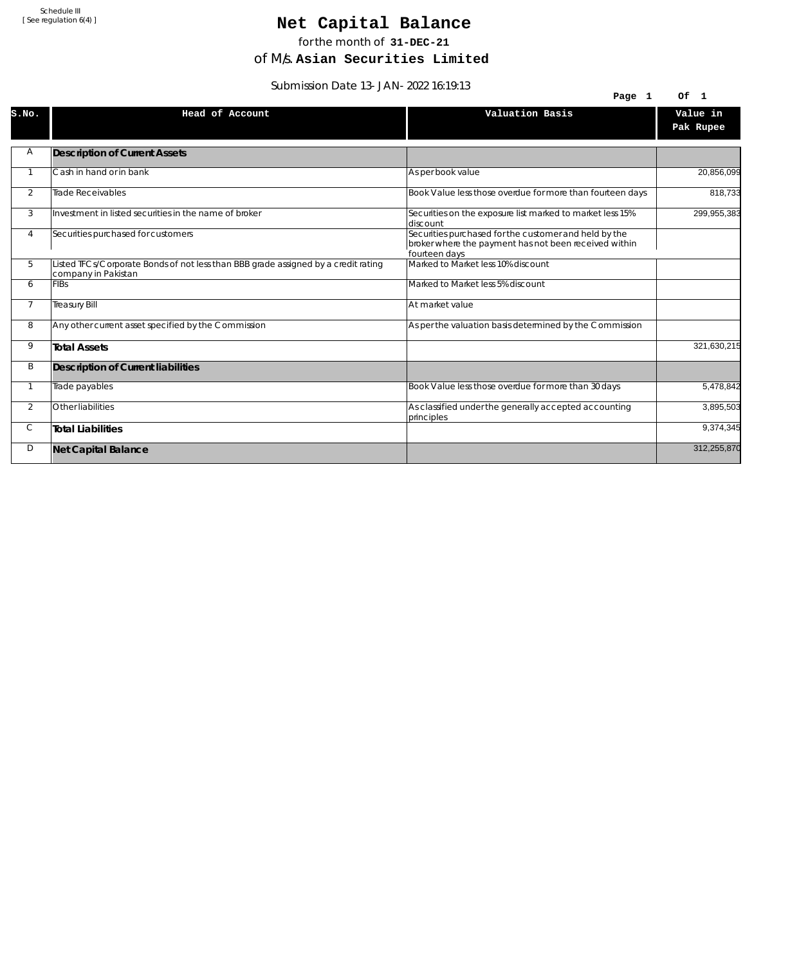## Net Capital Balance

for the month of **31-DEC-21**

of M/s. **Asian Securities Limited**

Submission Date 13-JAN-2022 16:19:13

|                | <u>JUDITIISJUITUALE IJ-JAN-ZUZZ 10.17.1J</u>                                                              |                                                                                                                                 |                       |
|----------------|-----------------------------------------------------------------------------------------------------------|---------------------------------------------------------------------------------------------------------------------------------|-----------------------|
|                |                                                                                                           | Page 1                                                                                                                          | Of 1                  |
| S.NO.          | Head of Account                                                                                           | Valuation Basis                                                                                                                 | Value in<br>Pak Rupee |
| Α              | <b>Description of Current Assets</b>                                                                      |                                                                                                                                 |                       |
|                | Cash in hand or in bank                                                                                   | As per book value                                                                                                               | 20,856,099            |
| 2              | Trade Receivables                                                                                         | Book Value less those overdue for more than fourteen days                                                                       | 818,733               |
| 3              | Investment in listed securities in the name of broker                                                     | Securities on the exposure list marked to market less 15%<br>discount                                                           | 299,955,383           |
| 4              | Securities purchased for customers                                                                        | Securities purchased for the customer and held by the<br>broker where the payment has not been received within<br>fourteen days |                       |
| 5              | Listed TFCs/Corporate Bonds of not less than BBB grade assigned by a credit rating<br>company in Pakistan | Marked to Market less 10% discount                                                                                              |                       |
| 6              | <b>FIBs</b>                                                                                               | Marked to Market less 5% discount                                                                                               |                       |
| $\overline{7}$ | <b>Treasury Bill</b>                                                                                      | At market value                                                                                                                 |                       |
| 8              | Any other current asset specified by the Commission                                                       | As per the valuation basis determined by the Commission                                                                         |                       |
| 9              | <b>Total Assets</b>                                                                                       |                                                                                                                                 | 321,630,215           |
| B              | Description of Current liabilities                                                                        |                                                                                                                                 |                       |
|                | Trade payables                                                                                            | Book Value less those overdue for more than 30 days                                                                             | 5,478,842             |
| $\overline{2}$ | Other liabilities                                                                                         | As classified under the generally accepted accounting<br>principles                                                             | 3,895,503             |
| С              | <b>Total Liabilities</b>                                                                                  |                                                                                                                                 | 9,374,345             |
| D              | <b>Net Capital Balance</b>                                                                                |                                                                                                                                 | 312,255,870           |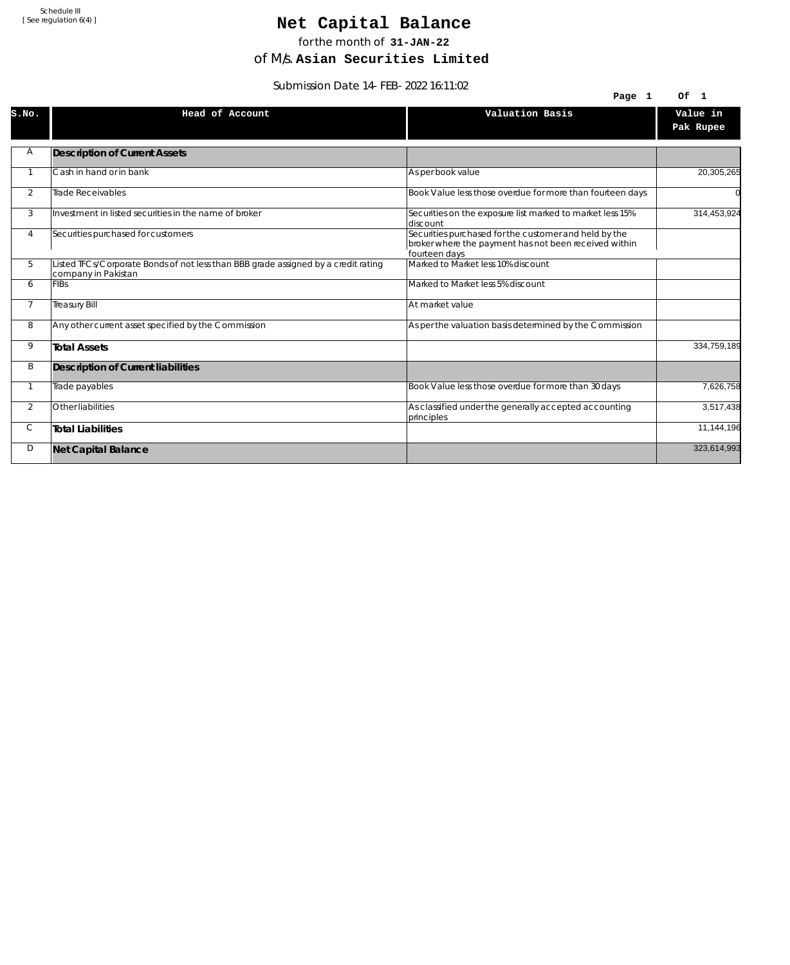## Net Capital Balance

for the month of **31-JAN-22**

of M/s. **Asian Securities Limited**

Submission Date 14-FEB-2022 16:11:02

|                | 3001111331011 DATE 14-FLD-2022 10.11.02                                                                   |                                                                                                                                 |                       |
|----------------|-----------------------------------------------------------------------------------------------------------|---------------------------------------------------------------------------------------------------------------------------------|-----------------------|
|                |                                                                                                           | Page 1                                                                                                                          | Of 1                  |
| S.NO.          | Head of Account                                                                                           | Valuation Basis                                                                                                                 | Value in<br>Pak Rupee |
| Α              | <b>Description of Current Assets</b>                                                                      |                                                                                                                                 |                       |
|                | Cash in hand or in bank                                                                                   | As per book value                                                                                                               | 20,305,265            |
| $\overline{2}$ | <b>Trade Receivables</b>                                                                                  | Book Value less those overdue for more than fourteen days                                                                       |                       |
| 3              | Investment in listed securities in the name of broker                                                     | Securities on the exposure list marked to market less 15%<br>discount                                                           | 314,453,924           |
| 4              | Securities purchased for customers                                                                        | Securities purchased for the customer and held by the<br>broker where the payment has not been received within<br>fourteen days |                       |
| 5              | Listed TFCs/Corporate Bonds of not less than BBB grade assigned by a credit rating<br>company in Pakistan | Marked to Market less 10% discount                                                                                              |                       |
| 6              | <b>FIBs</b>                                                                                               | Marked to Market less 5% discount                                                                                               |                       |
| $\overline{7}$ | <b>Treasury Bill</b>                                                                                      | At market value                                                                                                                 |                       |
| 8              | Any other current asset specified by the Commission                                                       | As per the valuation basis determined by the Commission                                                                         |                       |
| 9              | <b>Total Assets</b>                                                                                       |                                                                                                                                 | 334,759,189           |
| B              | Description of Current liabilities                                                                        |                                                                                                                                 |                       |
|                | Trade payables                                                                                            | Book Value less those overdue for more than 30 days                                                                             | 7,626,758             |
| $\overline{2}$ | Other liabilities                                                                                         | As classified under the generally accepted accounting<br>principles                                                             | 3,517,438             |
| С              | <b>Total Liabilities</b>                                                                                  |                                                                                                                                 | 11,144,196            |
| D              | <b>Net Capital Balance</b>                                                                                |                                                                                                                                 | 323,614,993           |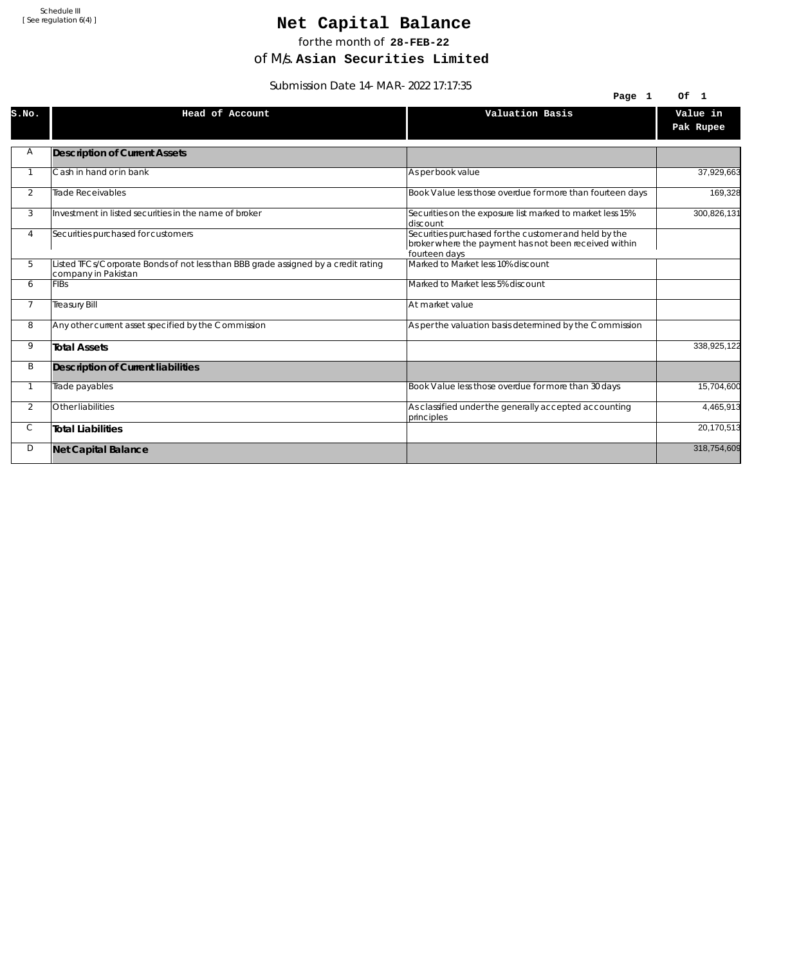## Net Capital Balance

for the month of **28-FEB-22**

of M/s. **Asian Securities Limited**

Submission Date 14-MAR-2022 17:17:35

|                | $300111331011$ Date $14$ -MAR-2022 17.17.33                                                               |                                                                                                                                 |             |
|----------------|-----------------------------------------------------------------------------------------------------------|---------------------------------------------------------------------------------------------------------------------------------|-------------|
|                |                                                                                                           | Page 1                                                                                                                          | Of 1        |
| S.NO.          | Head of Account                                                                                           | Valuation Basis                                                                                                                 | Value in    |
|                |                                                                                                           |                                                                                                                                 | Pak Rupee   |
| Α              | <b>Description of Current Assets</b>                                                                      |                                                                                                                                 |             |
|                | Cash in hand or in bank                                                                                   | As per book value                                                                                                               | 37,929,663  |
| 2              | Trade Receivables                                                                                         | Book Value less those overdue for more than fourteen days                                                                       | 169,328     |
| 3              | Investment in listed securities in the name of broker                                                     | Securities on the exposure list marked to market less 15%<br>ldiscount                                                          | 300,826,131 |
| 4              | Securities purchased for customers                                                                        | Securities purchased for the customer and held by the<br>broker where the payment has not been received within<br>fourteen days |             |
| 5              | Listed TFCs/Corporate Bonds of not less than BBB grade assigned by a credit rating<br>company in Pakistan | Marked to Market less 10% discount                                                                                              |             |
| 6              | <b>FIBs</b>                                                                                               | Marked to Market less 5% discount                                                                                               |             |
| $\overline{7}$ | <b>Treasury Bill</b>                                                                                      | At market value                                                                                                                 |             |
| 8              | Any other current asset specified by the Commission                                                       | As per the valuation basis determined by the Commission                                                                         |             |
| 9              | <b>Total Assets</b>                                                                                       |                                                                                                                                 | 338,925,122 |
| B              | Description of Current liabilities                                                                        |                                                                                                                                 |             |
|                | Trade payables                                                                                            | Book Value less those overdue for more than 30 days                                                                             | 15,704,600  |
| $\overline{2}$ | Other liabilities                                                                                         | As classified under the generally accepted accounting<br>principles                                                             | 4,465,913   |
| С              | <b>Total Liabilities</b>                                                                                  |                                                                                                                                 | 20,170,513  |
| D              | <b>Net Capital Balance</b>                                                                                |                                                                                                                                 | 318,754,609 |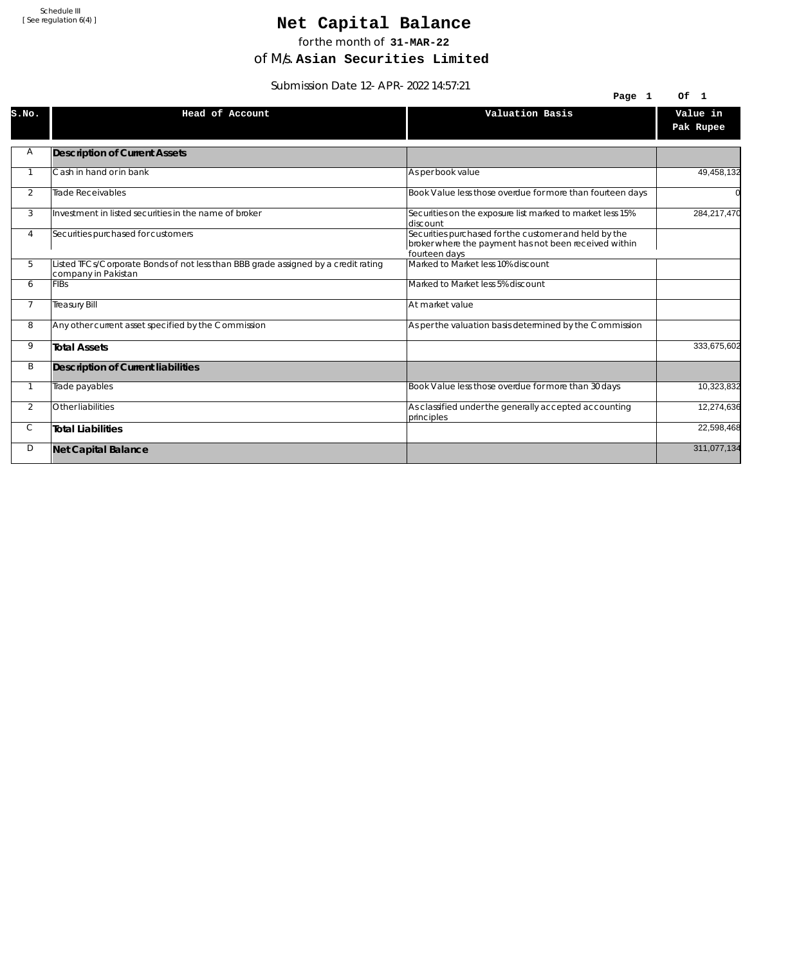## Net Capital Balance

for the month of **31-MAR-22**

of M/s. **Asian Securities Limited**

Submission Date 12-APR-2022 14:57:21

|                | $300111331011$ Date T2-AFR-2022 14.37.21                                                                  |                                                                                                                                 |                       |
|----------------|-----------------------------------------------------------------------------------------------------------|---------------------------------------------------------------------------------------------------------------------------------|-----------------------|
|                |                                                                                                           | Page 1                                                                                                                          | Of 1                  |
| S.NO.          | Head of Account                                                                                           | Valuation Basis                                                                                                                 | Value in<br>Pak Rupee |
| Α              | <b>Description of Current Assets</b>                                                                      |                                                                                                                                 |                       |
|                | Cash in hand or in bank                                                                                   | As per book value                                                                                                               | 49,458,132            |
| 2              | Trade Receivables                                                                                         | Book Value less those overdue for more than fourteen days                                                                       |                       |
| 3              | Investment in listed securities in the name of broker                                                     | Securities on the exposure list marked to market less 15%<br>discount                                                           | 284,217,470           |
| 4              | Securities purchased for customers                                                                        | Securities purchased for the customer and held by the<br>broker where the payment has not been received within<br>fourteen days |                       |
| 5              | Listed TFCs/Corporate Bonds of not less than BBB grade assigned by a credit rating<br>company in Pakistan | Marked to Market less 10% discount                                                                                              |                       |
| 6              | <b>FIBs</b>                                                                                               | Marked to Market less 5% discount                                                                                               |                       |
| $\overline{7}$ | <b>Treasury Bill</b>                                                                                      | At market value                                                                                                                 |                       |
| 8              | Any other current asset specified by the Commission                                                       | As per the valuation basis determined by the Commission                                                                         |                       |
| 9              | <b>Total Assets</b>                                                                                       |                                                                                                                                 | 333,675,602           |
| B              | Description of Current liabilities                                                                        |                                                                                                                                 |                       |
|                | Trade payables                                                                                            | Book Value less those overdue for more than 30 days                                                                             | 10,323,832            |
| $\overline{2}$ | Other liabilities                                                                                         | As classified under the generally accepted accounting<br>principles                                                             | 12,274,636            |
| С              | <b>Total Liabilities</b>                                                                                  |                                                                                                                                 | 22,598,468            |
| D              | <b>Net Capital Balance</b>                                                                                |                                                                                                                                 | 311,077,134           |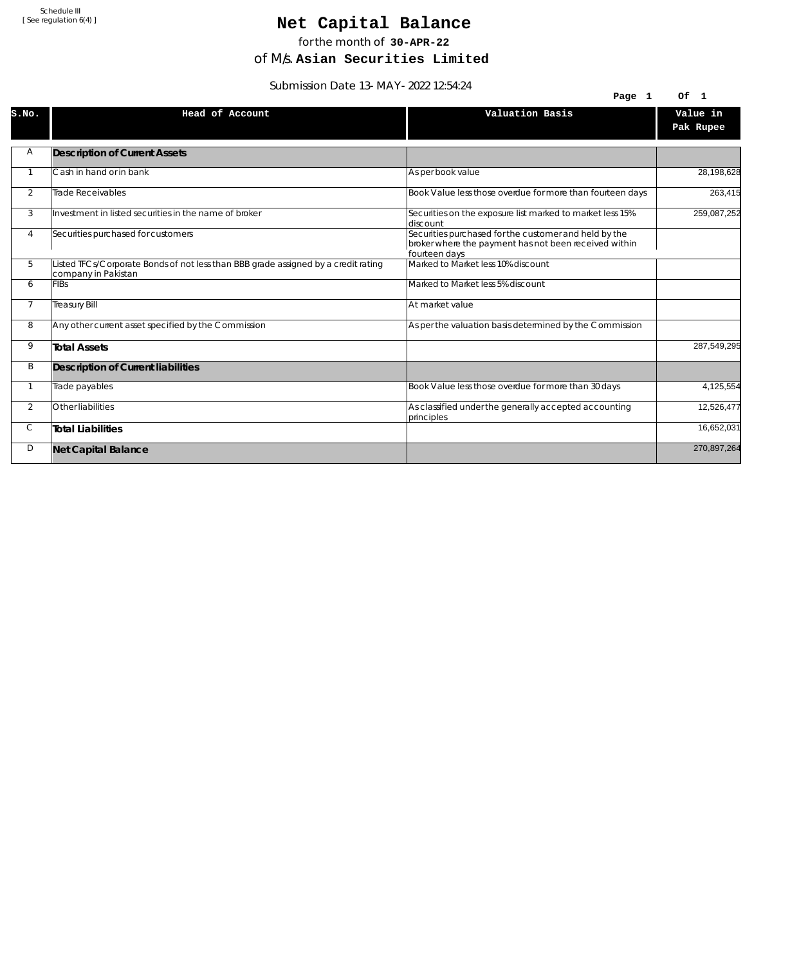# Net Capital Balance

for the month of **30-APR-22**

of M/s. **Asian Securities Limited**

Submission Date 13-MAY-2022 12:54:24

|                | $3001111331011$ Date $13-101A1-2022$ 12.34.24                                                             |                                                                                                                                 |                       |
|----------------|-----------------------------------------------------------------------------------------------------------|---------------------------------------------------------------------------------------------------------------------------------|-----------------------|
|                |                                                                                                           | Page 1                                                                                                                          | Of<br>$\blacksquare$  |
| S.NO.          | Head of Account                                                                                           | Valuation Basis                                                                                                                 | Value in<br>Pak Rupee |
| Α              | <b>Description of Current Assets</b>                                                                      |                                                                                                                                 |                       |
|                | Cash in hand or in bank                                                                                   | As per book value                                                                                                               | 28,198,628            |
| 2              | Trade Receivables                                                                                         | Book Value less those overdue for more than fourteen days                                                                       | 263,415               |
| 3              | Investment in listed securities in the name of broker                                                     | Securities on the exposure list marked to market less 15%<br>ldiscount                                                          | 259,087,252           |
| 4              | Securities purchased for customers                                                                        | Securities purchased for the customer and held by the<br>broker where the payment has not been received within<br>fourteen days |                       |
| 5              | Listed TFCs/Corporate Bonds of not less than BBB grade assigned by a credit rating<br>company in Pakistan | Marked to Market less 10% discount                                                                                              |                       |
| 6              | <b>FIBs</b>                                                                                               | Marked to Market less 5% discount                                                                                               |                       |
| $\overline{7}$ | <b>Treasury Bill</b>                                                                                      | At market value                                                                                                                 |                       |
| 8              | Any other current asset specified by the Commission                                                       | As per the valuation basis determined by the Commission                                                                         |                       |
| 9              | <b>Total Assets</b>                                                                                       |                                                                                                                                 | 287,549,295           |
| B              | Description of Current liabilities                                                                        |                                                                                                                                 |                       |
|                | Trade payables                                                                                            | Book Value less those overdue for more than 30 days                                                                             | 4,125,554             |
| $\overline{2}$ | Other liabilities                                                                                         | As classified under the generally accepted accounting<br>principles                                                             | 12,526,477            |
| С              | <b>Total Liabilities</b>                                                                                  |                                                                                                                                 | 16,652,031            |
| D              | <b>Net Capital Balance</b>                                                                                |                                                                                                                                 | 270,897,264           |